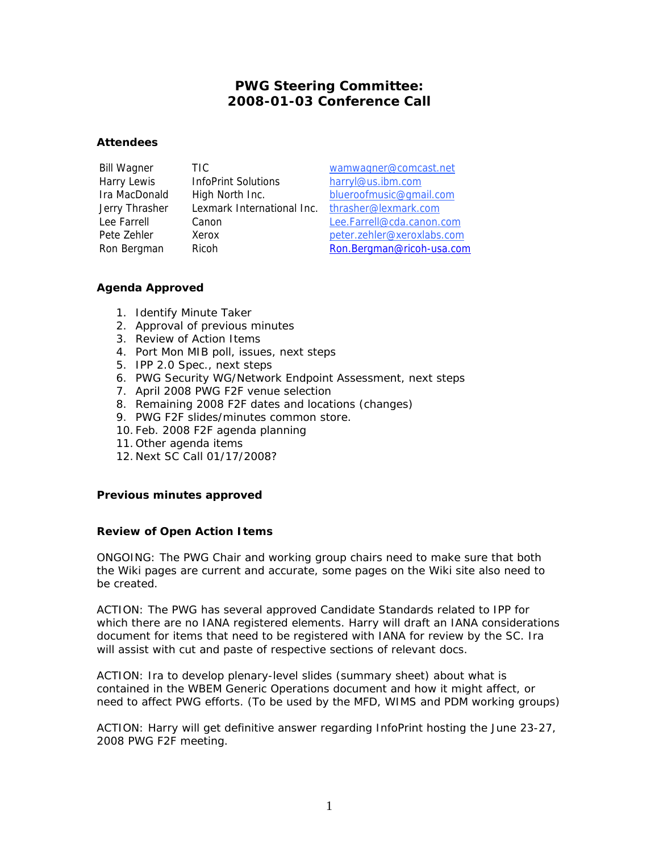# **PWG Steering Committee: 2008-01-03 Conference Call**

## **Attendees**

Harry Lewis InfoPrint Solutions harryl@us.ibm.com Jerry Thrasher Lexmark International Inc. thrasher@lexmark.com

Bill Wagner TIC wamwagner@comcast.net Ira MacDonald High North Inc. blueroofmusic@gmail.com Lee Farrell Canon Lee.Farrell@cda.canon.com Pete Zehler Xerox beter.zehler@xeroxlabs.com Ron Bergman Ricoh Ron.Bergman@ricoh-usa.com

## **Agenda Approved**

- 1. Identify Minute Taker
- 2. Approval of previous minutes
- 3. Review of Action Items
- 4. Port Mon MIB poll, issues, next steps
- 5. IPP 2.0 Spec., next steps
- 6. PWG Security WG/Network Endpoint Assessment, next steps
- 7. April 2008 PWG F2F venue selection
- 8. Remaining 2008 F2F dates and locations (changes)
- 9. PWG F2F slides/minutes common store.
- 10. Feb. 2008 F2F agenda planning
- 11. Other agenda items
- 12. Next SC Call 01/17/2008?

## **Previous minutes approved**

## **Review of Open Action Items**

ONGOING: The PWG Chair and working group chairs need to make sure that both the Wiki pages are current and accurate, some pages on the Wiki site also need to be created.

ACTION: The PWG has several approved Candidate Standards related to IPP for which there are no IANA registered elements. Harry will draft an IANA considerations document for items that need to be registered with IANA for review by the SC. Ira will assist with cut and paste of respective sections of relevant docs.

ACTION: Ira to develop plenary-level slides (summary sheet) about what is contained in the WBEM Generic Operations document and how it might affect, or need to affect PWG efforts. (To be used by the MFD, WIMS and PDM working groups)

ACTION: Harry will get definitive answer regarding InfoPrint hosting the June 23-27, 2008 PWG F2F meeting.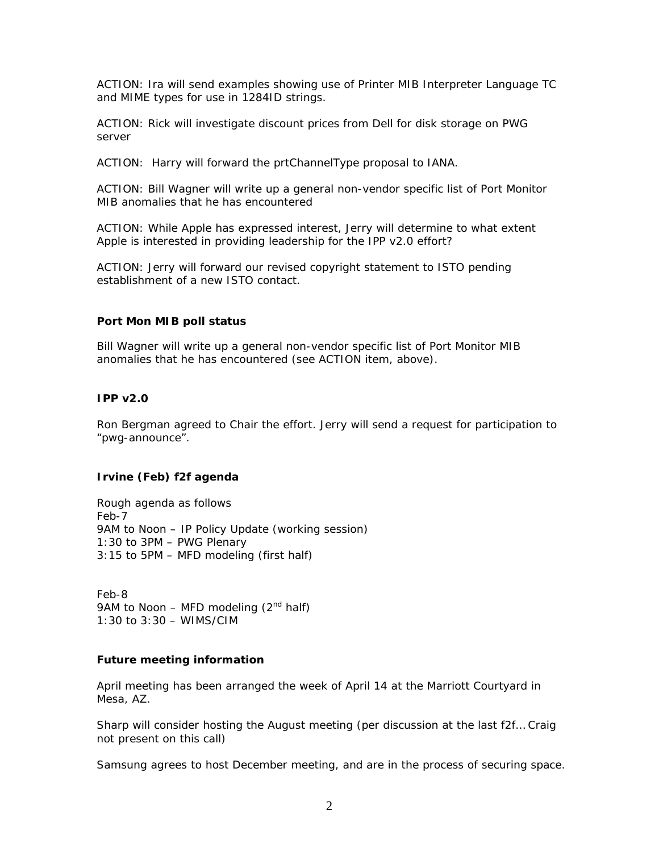ACTION: Ira will send examples showing use of Printer MIB Interpreter Language TC and MIME types for use in 1284ID strings.

ACTION: Rick will investigate discount prices from Dell for disk storage on PWG server

ACTION: Harry will forward the prtChannelType proposal to IANA.

ACTION: Bill Wagner will write up a general non-vendor specific list of Port Monitor MIB anomalies that he has encountered

ACTION: While Apple has expressed interest, Jerry will determine to what extent Apple is interested in providing leadership for the IPP v2.0 effort?

ACTION: Jerry will forward our revised copyright statement to ISTO pending establishment of a new ISTO contact.

### **Port Mon MIB poll status**

Bill Wagner will write up a general non-vendor specific list of Port Monitor MIB anomalies that he has encountered (see ACTION item, above).

### **IPP v2.0**

Ron Bergman agreed to Chair the effort. Jerry will send a request for participation to "pwg-announce".

## **Irvine (Feb) f2f agenda**

Rough agenda as follows Feb-7 9AM to Noon – IP Policy Update (working session) 1:30 to 3PM – PWG Plenary 3:15 to 5PM – MFD modeling (first half)

Feb-8 9AM to Noon – MFD modeling  $(2^{nd}$  half) 1:30 to 3:30 – WIMS/CIM

## **Future meeting information**

April meeting has been arranged the week of April 14 at the Marriott Courtyard in Mesa, AZ.

Sharp will consider hosting the August meeting (per discussion at the last f2f… Craig not present on this call)

Samsung agrees to host December meeting, and are in the process of securing space.